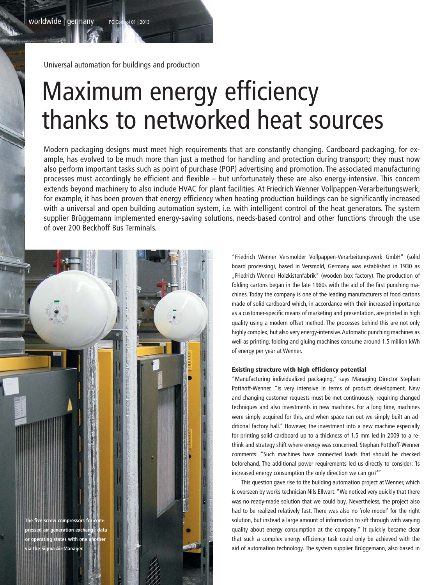Universal automation for buildings and production

# Maximum energy efficiency thanks to networked heat sources

Modern packaging designs must meet high requirements that are constantly changing. Cardboard packaging, for example, has evolved to be much more than just a method for handling and protection during transport; they must now also perform important tasks such as point of purchase (POP) advertising and promotion. The associated manufacturing processes must accordingly be efficient and flexible – but unfortunately these are also energy-intensive. This concern extends beyond machinery to also include HVAC for plant facilities. At Friedrich Wenner Vollpappen-Verarbeitungswerk, for example, it has been proven that energy efficiency when heating production buildings can be significantly increased with a universal and open building automation system, i.e. with intelligent control of the heat generators. The system supplier Brüggemann implemented energy-saving solutions, needs-based control and other functions through the use of over 200 Beckhoff Bus Terminals.



"Friedrich Wenner Versmolder Vollpappen-Verarbeitungswerk GmbH" (solid board processing), based in Versmold, Germany was established in 1930 as "Friedrich Wenner Holzkistenfabrik" (wooden box factory). The production of folding cartons began in the late 1960s with the aid of the first punching machines. Today the company is one of the leading manufacturers of food cartons made of solid cardboard which, in accordance with their increased importance as a customer-specific means of marketing and presentation, are printed in high quality using a modern offset method. The processes behind this are not only highly complex, but also very energy-intensive. Automatic punching machines as well as printing, folding and gluing machines consume around 1.5 million kWh of energy per year at Wenner.

### Existing structure with high efficiency potential

"Manufacturing individualized packaging," says Managing Director Stephan Potthoff-Wenner, "is very intensive in terms of product development. New and changing customer requests must be met continuously, requiring changed techniques and also investments in new machines. For a long time, machines were simply acquired for this, and when space ran out we simply built an additional factory hall." However, the investment into a new machine especially for printing solid cardboard up to a thickness of 1.5 mm led in 2009 to a rethink and strategy shift where energy was concerned. Stephan Potthoff-Wenner comments: "Such machines have connected loads that should be checked beforehand. The additional power requirements led us directly to consider: 'Is increased energy consumption the only direction we can go?'"

 This question gave rise to the building automation project at Wenner, which is overseen by works technician Nils Ellwart: "We noticed very quickly that there was no ready-made solution that we could buy. Nevertheless, the project also had to be realized relatively fast. There was also no 'role model' for the right solution, but instead a large amount of information to sift through with varying quality about energy consumption at the company." It quickly became clear that such a complex energy efficiency task could only be achieved with the aid of automation technology. The system supplier Brüggemann, also based in